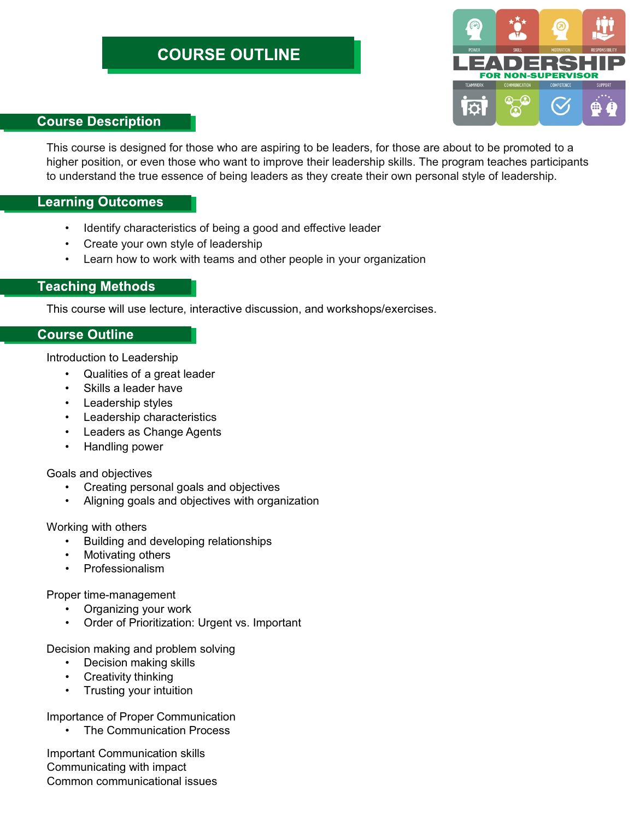# **COURSE OUTLINE**



# **Course Description**

This course is designed for those who are aspiring to be leaders, for those are about to be promoted to a higher position, or even those who want to improve their leadership skills. The program teaches participants to understand the true essence of being leaders as they create their own personal style of leadership.

## **Learning Outcomes**

- Identify characteristics of being a good and effective leader
- Create your own style of leadership
- Learn how to work with teams and other people in your organization

# **Teaching Methods**

This course will use lecture, interactive discussion, and workshops/exercises.

## **Course Outline**

Introduction to Leadership

- Qualities of a great leader
- Skills a leader have
- Leadership styles
- Leadership characteristics
- Leaders as Change Agents
- Handling power

#### Goals and objectives

- Creating personal goals and objectives
- Aligning goals and objectives with organization

#### Working with others

- Building and developing relationships
- Motivating others
- Professionalism

#### Proper time-management

- Organizing your work
- Order of Prioritization: Urgent vs. Important

Decision making and problem solving

- Decision making skills
- Creativity thinking
- Trusting your intuition

### Importance of Proper Communication

• The Communication Process

Important Communication skills Communicating with impact Common communicational issues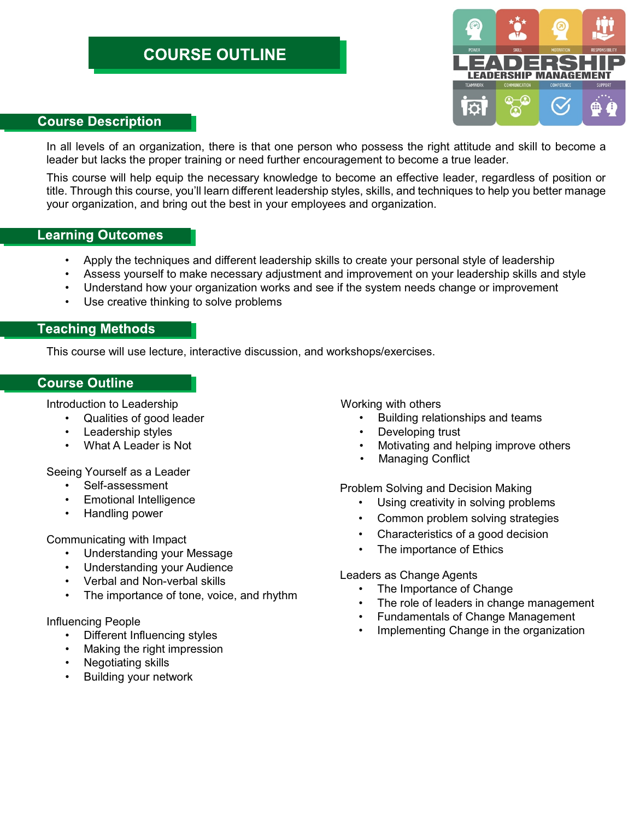# **COURSE OUTLINE**



## **Course Description**

In all levels of an organization, there is that one person who possess the right attitude and skill to become a leader but lacks the proper training or need further encouragement to become a true leader.

This course will help equip the necessary knowledge to become an effective leader, regardless of position or title. Through this course, you'll learn different leadership styles, skills, and techniques to help you better manage your organization, and bring out the best in your employees and organization.

## **Learning Outcomes**

- Apply the techniques and different leadership skills to create your personal style of leadership •
- Assess yourself to make necessary adjustment and improvement on your leadership skills and style
- Understand how your organization works and see if the system needs change or improvement
- Use creative thinking to solve problems

# **Teaching Methods**

This course will use lecture, interactive discussion, and workshops/exercises.

## **Course Outline**

Introduction to Leadership

- Qualities of good leader
- Leadership styles
- What A Leader is Not

Seeing Yourself as a Leader

- Self-assessment
- Emotional Intelligence
- Handling power

Communicating with Impact

- Understanding your Message
- Understanding your Audience
- Verbal and Non-verbal skills
- The importance of tone, voice, and rhythm

#### Influencing People

- Different Influencing styles
- Making the right impression
- Negotiating skills
- Building your network

Working with others

- Building relationships and teams
- Developing trust
- Motivating and helping improve others
- Managing Conflict

Problem Solving and Decision Making

- Using creativity in solving problems
- Common problem solving strategies
- Characteristics of a good decision
- The importance of Ethics

#### Leaders as Change Agents

- The Importance of Change
- The role of leaders in change management
- Fundamentals of Change Management
- Implementing Change in the organization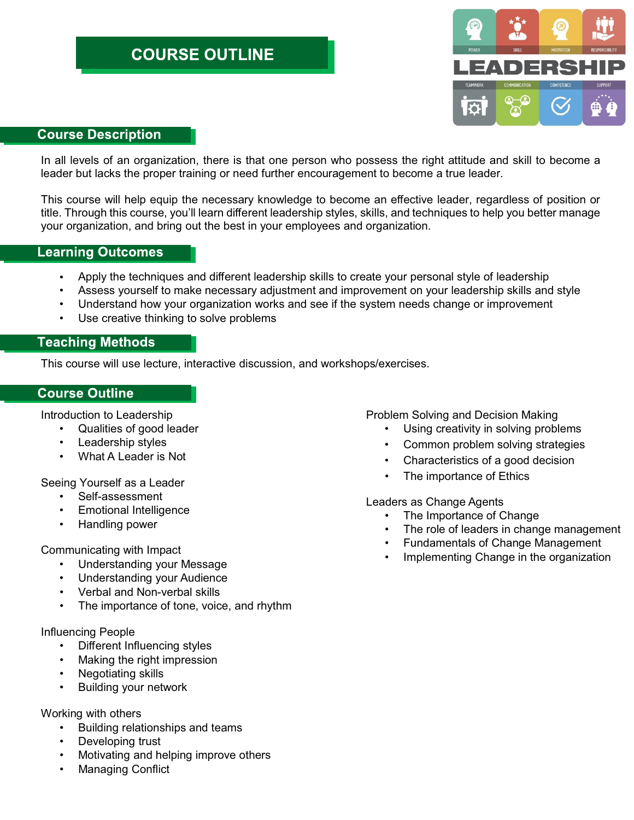

### **Course Description**

In all levels of an organization, there is that one person who possess the right attitude and skill to become a leader but lacks the proper training or need further encouragement to become a true leader.

This course will help equip the necessary knowledge to become an effective leader, regardless of position or title. Through this course, you'll learn different leadership styles, skills, and techniques to help you better manage your organization, and bring out the best in your employees and organization.

## **Learning Outcomes**

- Apply the techniques and different leadership skills to create your personal style of leadership •
- Assess yourself to make necessary adjustment and improvement on your leadership skills and style
- Understand how your organization works and see if the system needs change or improvement
- Use creative thinking to solve problems

# **Teaching Methods**

This course will use lecture, interactive discussion, and workshops/exercises.

## **Course Outline**

Introduction to Leadership

- Qualities of good leader
- Leadership styles
- What A Leader is Not

Seeing Yourself as a Leader

- Self-assessment
- Emotional Intelligence
- Handling power

Communicating with Impact

- Understanding your Message
- Understanding your Audience
- Verbal and Non-verbal skills
- The importance of tone, voice, and rhythm

#### Influencing People

- Different Influencing styles
- Making the right impression
- Negotiating skills
- Building your network

#### Working with others

- Building relationships and teams
- Developing trust
- Motivating and helping improve others
- Managing Conflict

Problem Solving and Decision Making

- Using creativity in solving problems
- Common problem solving strategies
- Characteristics of a good decision
- The importance of Ethics

Leaders as Change Agents

- The Importance of Change
- The role of leaders in change management
- Fundamentals of Change Management
- Implementing Change in the organization